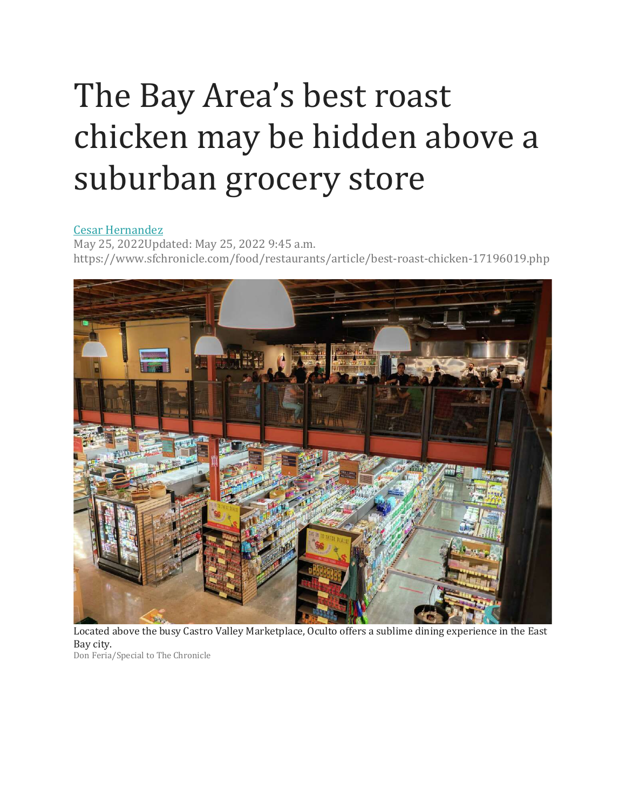## The Bay Area's best roast chicken may be hidden above a [su](https://www.sfchronicle.com/author/cesar-hernandez/)burban grocery store

## [Cesar Hernandez](https://www.sfchronicle.com/author/cesar-hernandez/)

May 25, 2022Updated: May 25, 2022 9:45 a.m. https://www.sfchronicle.com/food/restaurants/article/best-roast-chicken-17196019.php



Located above the busy Castro Valley Marketplace, Oculto offers a sublime dining experience in the East Bay city. Don Feria/Special to The Chronicle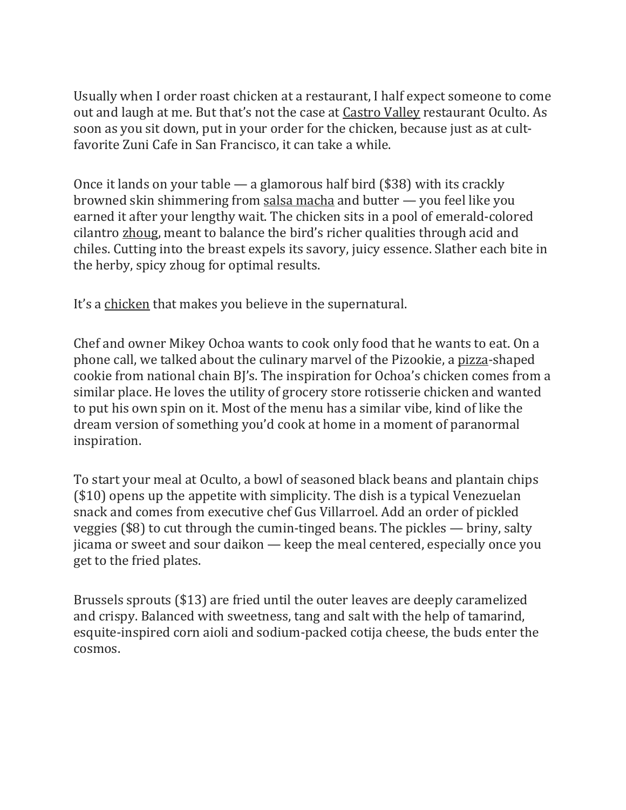Usually when I order roast chicken at a restaurant, I half expect someone to come out and laugh at me. But that's not the case at [Castro](https://www.sfchronicle.com/food/article/Castro-Valley-s-food-scene-is-heating-up-16320172.php) Valley restaurant Oculto. As soon as you sit down, put in your order for the chicken, because just as at cultfavorite Zuni Cafe in San Francisco, it can take a while.

Once it lands on your table — a glamorous half bird (\$38) with its crackly browned skin shimmering from [salsa macha](https://www.sfchronicle.com/food/article/salsa-macha-sf-bay-area-where-to-buy-16118450.php) and butter — you feel like you earned it after your lengthy wait. The chicken sits in a pool of emerald-colored cilantro [zhoug,](https://www.sfchronicle.com/food/article/Bright-Yemeni-hot-sauce-zhoug-is-racing-its-way-15650477.php) meant to balance the bird's richer qualities through acid and chiles. Cutting into the breast expels its savory, juicy essence. Slather each bite in the herby, spicy zhoug for optimal results.

It's a [chicken](https://www.sfchronicle.com/projects/best-fried-chicken-sf-bay-area/) that makes you believe in the supernatural.

Chef and owner Mikey Ochoa wants to cook only food that he wants to eat. On a phone call, we talked about the culinary marvel of the Pizookie, a [pizza-](https://www.sfchronicle.com/projects/best-pizza-sf-bay-area/)shaped cookie from national chain BJ's. The inspiration for Ochoa's chicken comes from a similar place. He loves the utility of grocery store rotisserie chicken and wanted to put his own spin on it. Most of the menu has a similar vibe, kind of like the dream version of something you'd cook at home in a moment of paranormal inspiration.

To start your meal at Oculto, a bowl of seasoned black beans and plantain chips (\$10) opens up the appetite with simplicity. The dish is a typical Venezuelan snack and comes from executive chef Gus Villarroel. Add an order of pickled veggies (\$8) to cut through the cumin-tinged beans. The pickles — briny, salty jicama or sweet and sour daikon — keep the meal centered, especially once you get to the fried plates.

Brussels sprouts (\$13) are fried until the outer leaves are deeply caramelized and crispy. Balanced with sweetness, tang and salt with the help of tamarind, esquite-inspired corn aioli and sodium-packed cotija cheese, the buds enter the cosmos.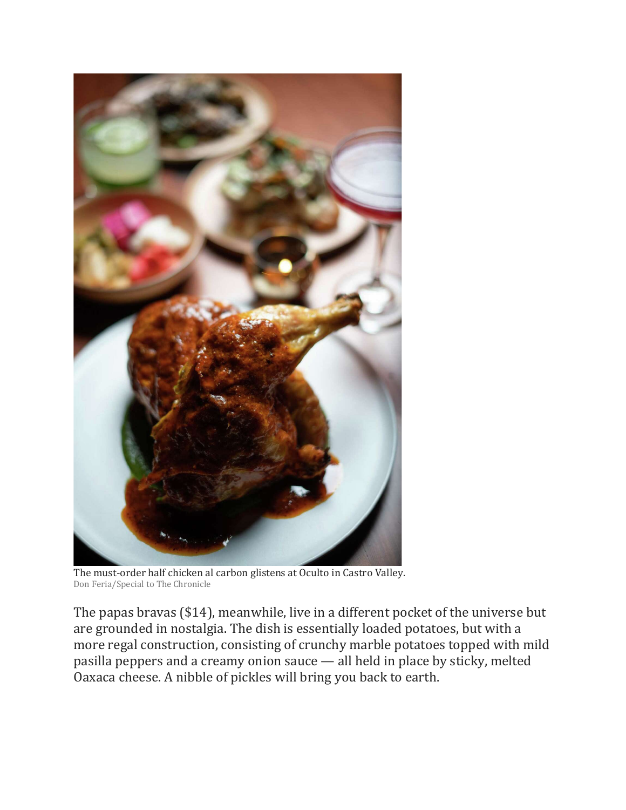

The must-order half chicken al carbon glistens at Oculto in Castro Valley. Don Feria/Special to The Chronicle

The papas bravas (\$14), meanwhile, live in a different pocket of the universe but are grounded in nostalgia. The dish is essentially loaded potatoes, but with a more regal construction, consisting of crunchy marble potatoes topped with mild pasilla peppers and a creamy onion sauce — all held in place by sticky, melted Oaxaca cheese. A nibble of pickles will bring you back to earth.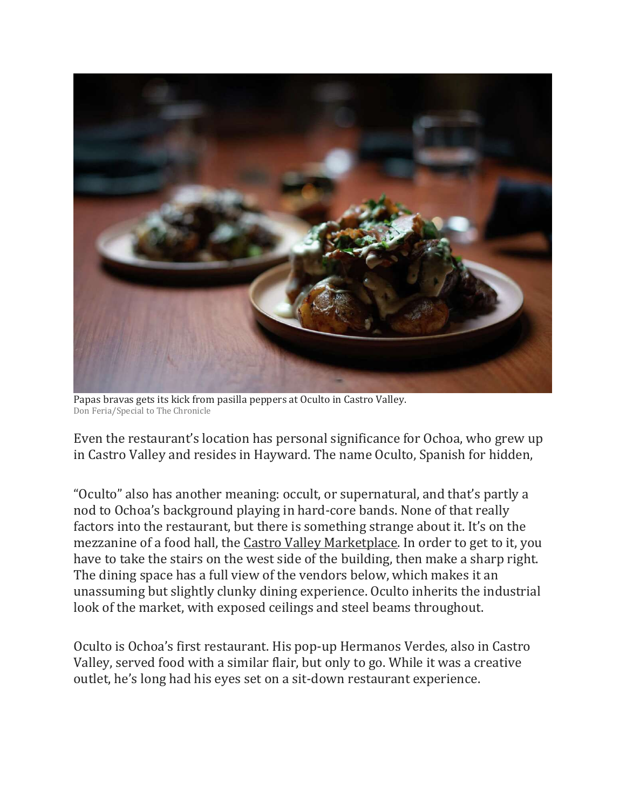

Papas bravas gets its kick from pasilla peppers at Oculto in Castro Valley. Don Feria/Special to The Chronicle

Even the restaurant's location has personal significance for Ochoa, who grew up in Castro Valley and resides in Hayward. The name Oculto, Spanish for hidden,

"Oculto" also has another meaning: occult, or supernatural, and that's partly a nod to Ochoa's background playing in hard-core bands. None of that really factors into the restaurant, but there is something strange about it. It's on the mezzanine of a food hall, the [Castro Valley Marketplace.](https://www.sfchronicle.com/food/article/East-Bay-s-biggest-and-most-ambitious-food-hall-15429276.php) In order to get to it, you have to take the stairs on the west side of the building, then make a sharp right. The dining space has a full view of the vendors below, which makes it an unassuming but slightly clunky dining experience. Oculto inherits the industrial look of the market, with exposed ceilings and steel beams throughout.

Oculto is Ochoa's first restaurant. His pop-up Hermanos Verdes, also in Castro Valley, served food with a similar flair, but only to go. While it was a creative outlet, he's long had his eyes set on a sit-down restaurant experience.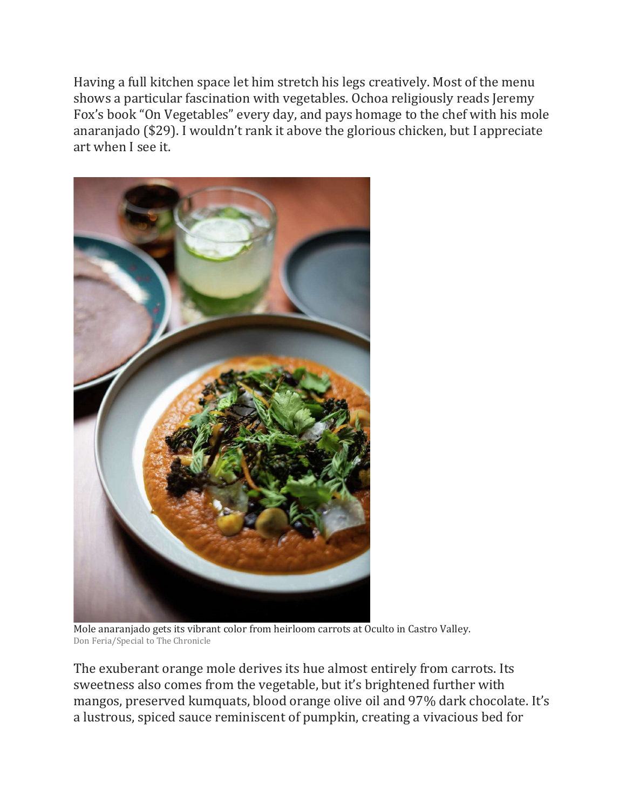Having a full kitchen space let him stretch his legs creatively. Most of the menu shows a particular fascination with vegetables. Ochoa religiously reads Jeremy Fox's book "On Vegetables" every day, and pays homage to the chef with his mole anaranjado (\$29). I wouldn't rank it above the glorious chicken, but I appreciate art when I see it.



Mole anaranjado gets its vibrant color from heirloom carrots at Oculto in Castro Valley. Don Feria/Special to The Chronicle

The exuberant orange mole derives its hue almost entirely from carrots. Its sweetness also comes from the vegetable, but it's brightened further with mangos, preserved kumquats, blood orange olive oil and 97% dark chocolate. It's a lustrous, spiced sauce reminiscent of pumpkin, creating a vivacious bed for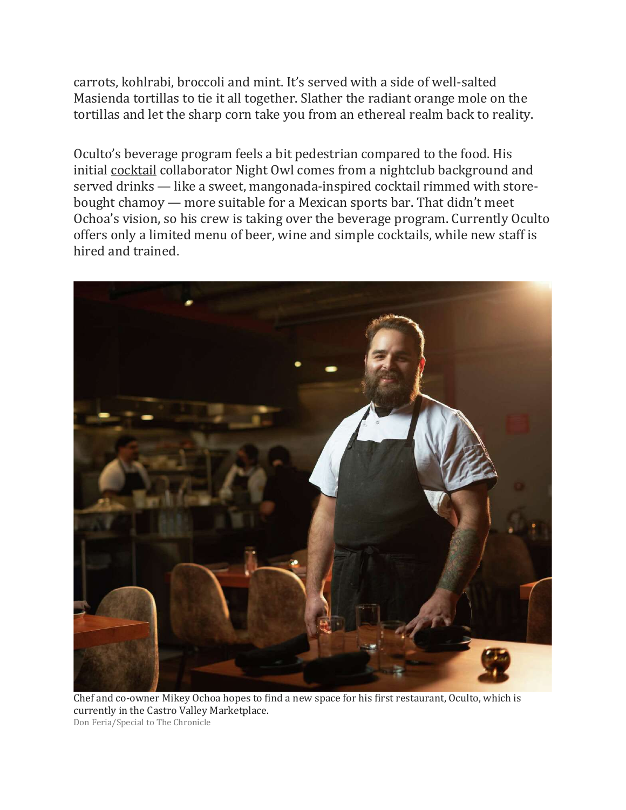carrots, kohlrabi, broccoli and mint. It's served with a side of well-salted Masienda tortillas to tie it all together. Slather the radiant orange mole on the tortillas and let the sharp corn take you from an ethereal realm back to reality.

Oculto's beverage program feels a bit pedestrian compared to the food. His initial [cocktail](https://www.sfchronicle.com/projects/best-cocktail-bars-sf/) collaborator Night Owl comes from a nightclub background and served drinks — like a sweet, mangonada-inspired cocktail rimmed with storebought chamoy — more suitable for a Mexican sports bar. That didn't meet Ochoa's vision, so his crew is taking over the beverage program. Currently Oculto offers only a limited menu of beer, wine and simple cocktails, while new staff is hired and trained.



Chef and co-owner Mikey Ochoa hopes to find a new space for his first restaurant, Oculto, which is currently in the Castro Valley Marketplace. Don Feria/Special to The Chronicle